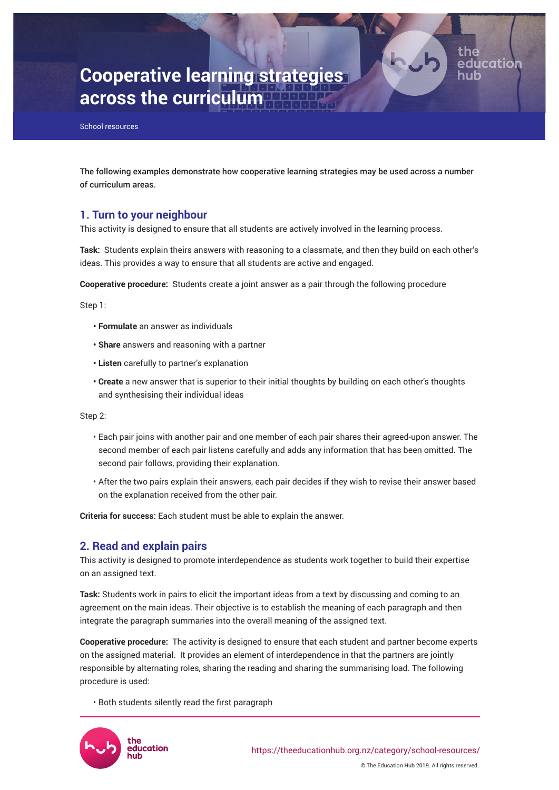

Page 1

# **Cooperative learning strategies across the curriculum**

School resources

The following examples demonstrate how cooperative learning strategies may be used across a number of curriculum areas.

# **1. Turn to your neighbour**

This activity is designed to ensure that all students are actively involved in the learning process.

**Task:** Students explain theirs answers with reasoning to a classmate, and then they build on each other's ideas. This provides a way to ensure that all students are active and engaged.

**Cooperative procedure:** Students create a joint answer as a pair through the following procedure

Step 1:

- **Formulate** an answer as individuals
- **Share** answers and reasoning with a partner
- **Listen** carefully to partner's explanation
- **Create** a new answer that is superior to their initial thoughts by building on each other's thoughts and synthesising their individual ideas

Step 2:

- Each pair joins with another pair and one member of each pair shares their agreed-upon answer. The second member of each pair listens carefully and adds any information that has been omitted. The second pair follows, providing their explanation.
- After the two pairs explain their answers, each pair decides if they wish to revise their answer based on the explanation received from the other pair.

**Criteria for success:** Each student must be able to explain the answer.

# **2. Read and explain pairs**

This activity is designed to promote interdependence as students work together to build their expertise on an assigned text.

**Task:** Students work in pairs to elicit the important ideas from a text by discussing and coming to an agreement on the main ideas. Their objective is to establish the meaning of each paragraph and then integrate the paragraph summaries into the overall meaning of the assigned text.

**Cooperative procedure:** The activity is designed to ensure that each student and partner become experts on the assigned material. It provides an element of interdependence in that the partners are jointly responsible by alternating roles, sharing the reading and sharing the summarising load. The following procedure is used:

• Both students silently read the first paragraph

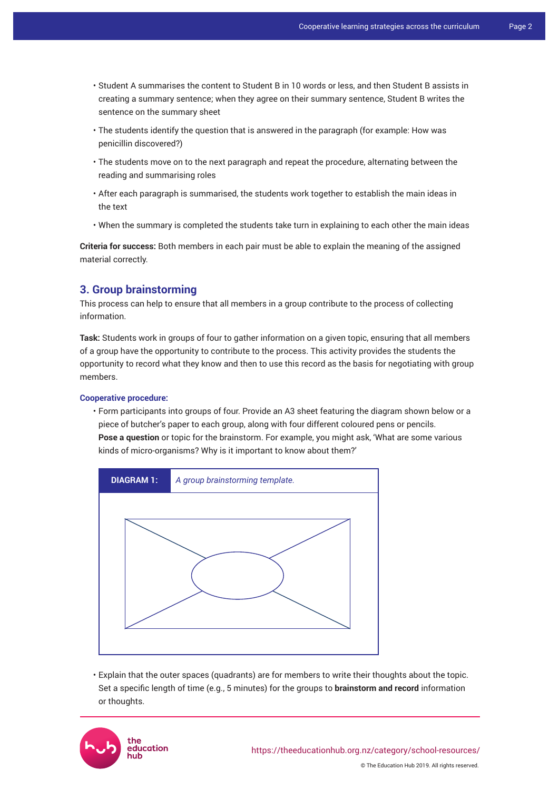- Student A summarises the content to Student B in 10 words or less, and then Student B assists in creating a summary sentence; when they agree on their summary sentence, Student B writes the sentence on the summary sheet
- The students identify the question that is answered in the paragraph (for example: How was penicillin discovered?)
- The students move on to the next paragraph and repeat the procedure, alternating between the reading and summarising roles
- After each paragraph is summarised, the students work together to establish the main ideas in the text
- When the summary is completed the students take turn in explaining to each other the main ideas

**Criteria for success:** Both members in each pair must be able to explain the meaning of the assigned material correctly.

# **3. Group brainstorming**

This process can help to ensure that all members in a group contribute to the process of collecting information.

**Task:** Students work in groups of four to gather information on a given topic, ensuring that all members of a group have the opportunity to contribute to the process. This activity provides the students the opportunity to record what they know and then to use this record as the basis for negotiating with group members.

## **Cooperative procedure:**

• Form participants into groups of four. Provide an A3 sheet featuring the diagram shown below or a piece of butcher's paper to each group, along with four different coloured pens or pencils. **Pose a question** or topic for the brainstorm. For example, you might ask, 'What are some various kinds of micro-organisms? Why is it important to know about them?'



• Explain that the outer spaces (quadrants) are for members to write their thoughts about the topic. Set a specific length of time (e.g., 5 minutes) for the groups to **brainstorm and record** information or thoughts.

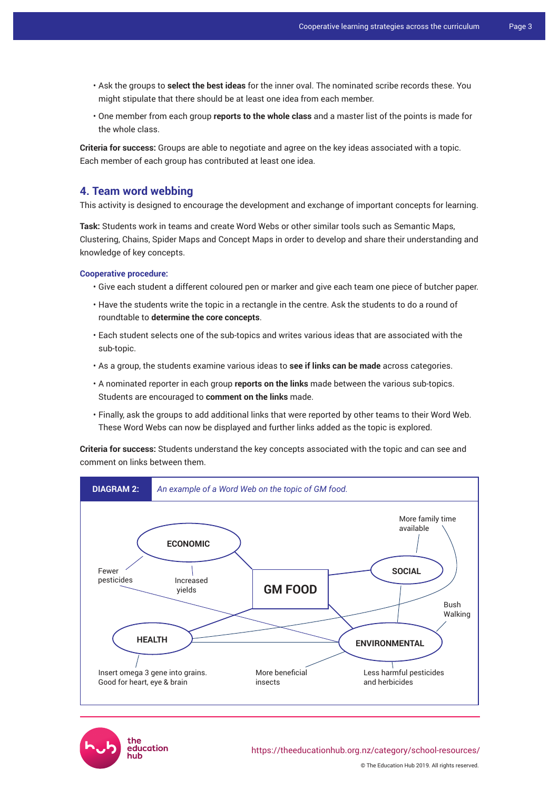- Ask the groups to **select the best ideas** for the inner oval. The nominated scribe records these. You might stipulate that there should be at least one idea from each member.
- One member from each group **reports to the whole class** and a master list of the points is made for the whole class.

**Criteria for success:** Groups are able to negotiate and agree on the key ideas associated with a topic. Each member of each group has contributed at least one idea.

## **4. Team word webbing**

This activity is designed to encourage the development and exchange of important concepts for learning.

**Task:** Students work in teams and create Word Webs or other similar tools such as Semantic Maps, Clustering, Chains, Spider Maps and Concept Maps in order to develop and share their understanding and knowledge of key concepts.

#### **Cooperative procedure:**

- Give each student a different coloured pen or marker and give each team one piece of butcher paper.
- Have the students write the topic in a rectangle in the centre. Ask the students to do a round of roundtable to **determine the core concepts**.
- Each student selects one of the sub-topics and writes various ideas that are associated with the sub-topic.
- As a group, the students examine various ideas to **see if links can be made** across categories.
- A nominated reporter in each group **reports on the links** made between the various sub-topics. Students are encouraged to **comment on the links** made.
- Finally, ask the groups to add additional links that were reported by other teams to their Word Web. These Word Webs can now be displayed and further links added as the topic is explored.

**Criteria for success:** Students understand the key concepts associated with the topic and can see and comment on links between them.